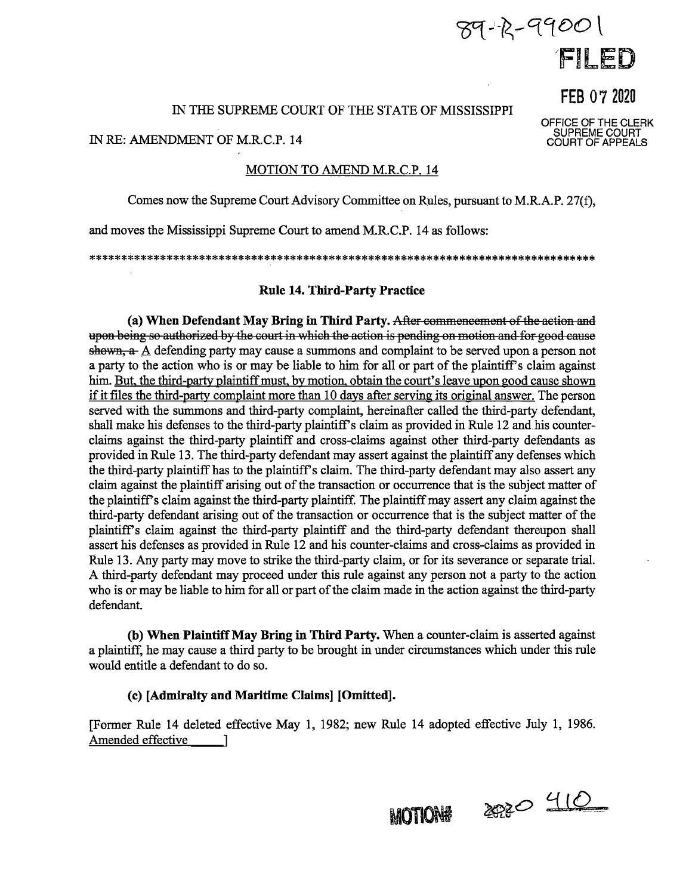# $89 - 12 - 99001$ FILED

FEB 07 2020

OFFICE OF THE CLERK<br>SUPREME COURT<br>COURT OF APPEALS

#### IN THE SUPREME COURT OF THE STATE OF MISSISSIPPI

IN RE: AMENDMENT OF M.R.C.P. 14

## **MOTION TO AMEND M.R.C.P. 14**

Comes now the Supreme Court Advisory Committee on Rules, pursuant to M.R.A.P. 27(f),

and moves the Mississippi Supreme Court to amend M.R.C.P. 14 as follows:

## **Rule 14. Third-Party Practice**

(a) When Defendant May Bring in Third Party. After commencement of the action and upon being so authorized by the court in which the action is pending on motion and for good cause shown,  $a$ - A defending party may cause a summons and complaint to be served upon a person not a party to the action who is or may be liable to him for all or part of the plaintiff's claim against him. But, the third-party plaintiff must, by motion, obtain the court's leave upon good cause shown if it files the third-party complaint more than 10 days after serving its original answer. The person served with the summons and third-party complaint, hereinafter called the third-party defendant, shall make his defenses to the third-party plaintiff's claim as provided in Rule 12 and his counterclaims against the third-party plaintiff and cross-claims against other third-party defendants as provided in Rule 13. The third-party defendant may assert against the plaintiff any defenses which the third-party plaintiff has to the plaintiff's claim. The third-party defendant may also assert any claim against the plaintiff arising out of the transaction or occurrence that is the subject matter of the plaintiff's claim against the third-party plaintiff. The plaintiff may assert any claim against the third-party defendant arising out of the transaction or occurrence that is the subject matter of the plaintiff's claim against the third-party plaintiff and the third-party defendant thereupon shall assert his defenses as provided in Rule 12 and his counter-claims and cross-claims as provided in Rule 13. Any party may move to strike the third-party claim, or for its severance or separate trial. A third-party defendant may proceed under this rule against any person not a party to the action who is or may be liable to him for all or part of the claim made in the action against the third-party defendant.

(b) When Plaintiff May Bring in Third Party. When a counter-claim is asserted against a plaintiff, he may cause a third party to be brought in under circumstances which under this rule would entitle a defendant to do so.

## (c) [Admiralty and Maritime Claims] [Omitted].

[Former Rule 14 deleted effective May 1, 1982; new Rule 14 adopted effective July 1, 1986.] Amended effective 1

**MOTION#** 

2020 410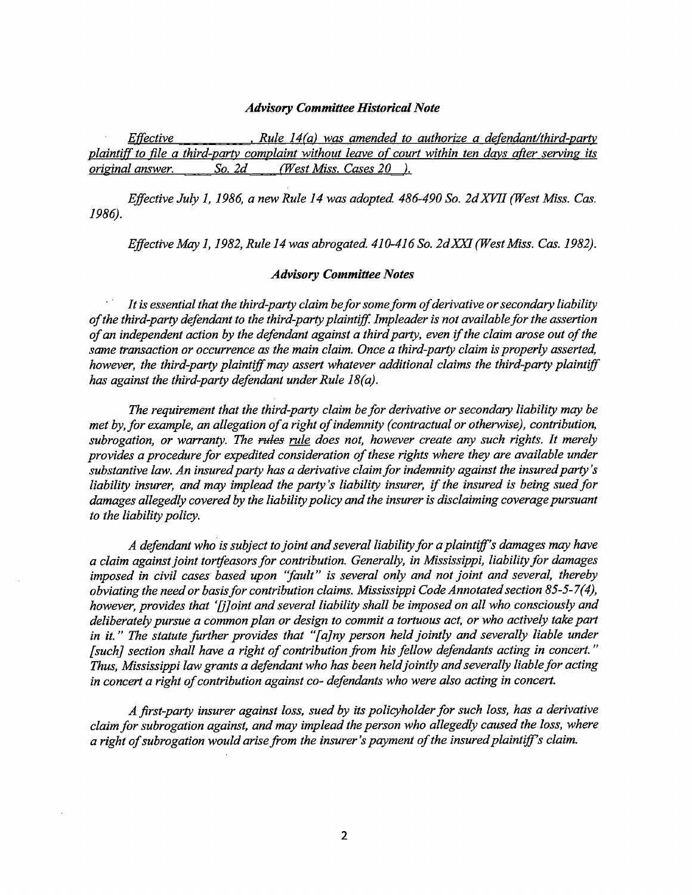#### *Advisory Committee Historical Note*

*Effective* • *Rule 14(a) was amended to authorize a defendant/third-partv plaintiff to file a third-partv complaint without leave of court within ten days after serving its original answer. So. 2d (West Miss. Cases 20 ).* 

*Effective July 1, 1986, a new Rule 14 was adopted 486-490 So. 2d XVII (West Miss. Cas. 1986).* 

*Effective May 1, 1982, Rule 14 was abrogated. 410-416 So. 2dXXI (West Miss. Cas. 1982).* 

#### *Advisory Committee Notes*

*It is essential that the third-party claim be for some fonn of derivative or secondary liability of the third-party defendant to the third-party plaintiff. Imp leader is not available for the assertion of an independent action by the defendant against a third party, even* if *the claim arose out of the same transaction or occurrence as the main claim. Once a third-party claim is properly asserted, however, the third-party plaintiff may assert whatever additional claims the third-party plaintiff has against the third-party defendant under Rule 18(a).* 

*The requirement that the third-party claim be for derivative or secondary liability may be met by, for example, an allegation of a right of indemnity (contractual or otherwise), contribution, subrogation, or warranty. The* fflies *rule does not, however create any such rights. It merely provides a procedure for expedited consideration of these rights where they are available under substantive law. An insured party has a derivative claim for indemnity against the insured party's liability insurer, and may implead the party's liability insurer,* if *the insured is being sued for damages allegedly covered by the liability policy and the insurer is disclaiming coverage pursuant to the liability policy.* 

*A defendant who is subject to joint and several liability for a plaintiff's damages may have a claim against joint tortfeasors for contribution. Generally, in Mississippi, liability for damages imposed in civil cases based upon ''fault" is several only and not joint and several, thereby obviating the need or basis for contribution claims. Mississippi Code Annotated section 85-5-7 ( 4), however, provides that '[j]oint and several liability shall be imposed on all who consciously and deliberately pursue a common plan or design to commit a tortuous act, or who actively take part in it.* " *The statute further provides that "[ a]ny person held jointly and severally liable under [such] section shall have a right of contribution from his fellow defendants acting in concert.* " *Thus, Mississippi law grants a defendant who has been held jointly and severally liable for acting in concert a right of contribution against co- defendants who were also acting in concert.* 

*A first-party insurer against loss, sued by its policyholder for such loss, has a derivative claim for subrogation against, and may imp lead the person who allegedly caused the loss, where a right of subrogation would arise from the insurer's payment of the insured plaintiff's claim.*